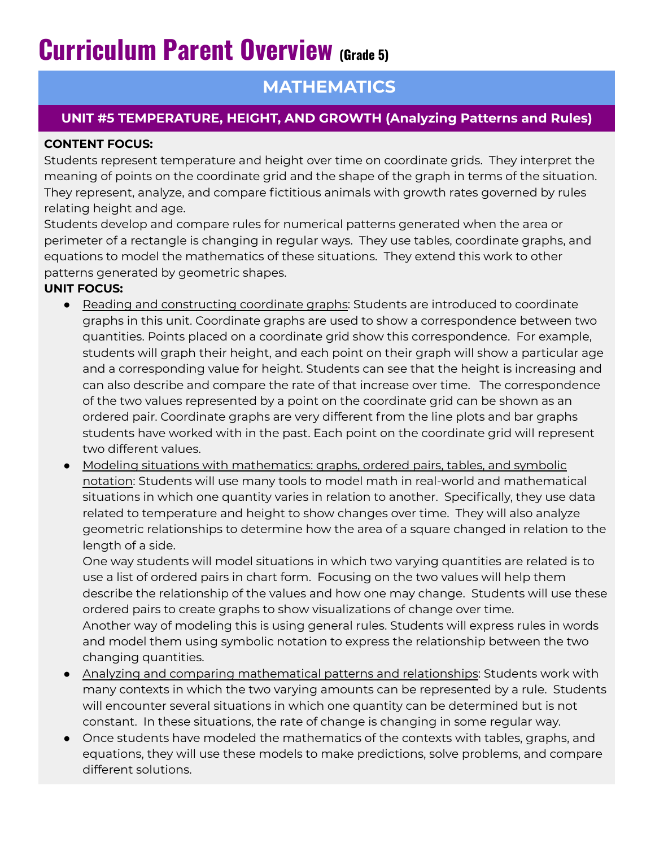# **Curriculum Parent Overview (Grade 5)**

# **MATHEMATICS**

## **UNIT #5 TEMPERATURE, HEIGHT, AND GROWTH (Analyzing Patterns and Rules)**

### **CONTENT FOCUS:**

Students represent temperature and height over time on coordinate grids. They interpret the meaning of points on the coordinate grid and the shape of the graph in terms of the situation. They represent, analyze, and compare fictitious animals with growth rates governed by rules relating height and age.

Students develop and compare rules for numerical patterns generated when the area or perimeter of a rectangle is changing in regular ways. They use tables, coordinate graphs, and equations to model the mathematics of these situations. They extend this work to other patterns generated by geometric shapes.

### **UNIT FOCUS:**

- Reading and constructing coordinate graphs: Students are introduced to coordinate graphs in this unit. Coordinate graphs are used to show a correspondence between two quantities. Points placed on a coordinate grid show this correspondence. For example, students will graph their height, and each point on their graph will show a particular age and a corresponding value for height. Students can see that the height is increasing and can also describe and compare the rate of that increase over time. The correspondence of the two values represented by a point on the coordinate grid can be shown as an ordered pair. Coordinate graphs are very different from the line plots and bar graphs students have worked with in the past. Each point on the coordinate grid will represent two different values.
- Modeling situations with mathematics: graphs, ordered pairs, tables, and symbolic notation: Students will use many tools to model math in real-world and mathematical situations in which one quantity varies in relation to another. Specifically, they use data related to temperature and height to show changes over time. They will also analyze geometric relationships to determine how the area of a square changed in relation to the length of a side.

One way students will model situations in which two varying quantities are related is to use a list of ordered pairs in chart form. Focusing on the two values will help them describe the relationship of the values and how one may change. Students will use these ordered pairs to create graphs to show visualizations of change over time. Another way of modeling this is using general rules. Students will express rules in words and model them using symbolic notation to express the relationship between the two changing quantities.

- Analyzing and comparing mathematical patterns and relationships: Students work with many contexts in which the two varying amounts can be represented by a rule. Students will encounter several situations in which one quantity can be determined but is not constant. In these situations, the rate of change is changing in some regular way.
- Once students have modeled the mathematics of the contexts with tables, graphs, and equations, they will use these models to make predictions, solve problems, and compare different solutions.